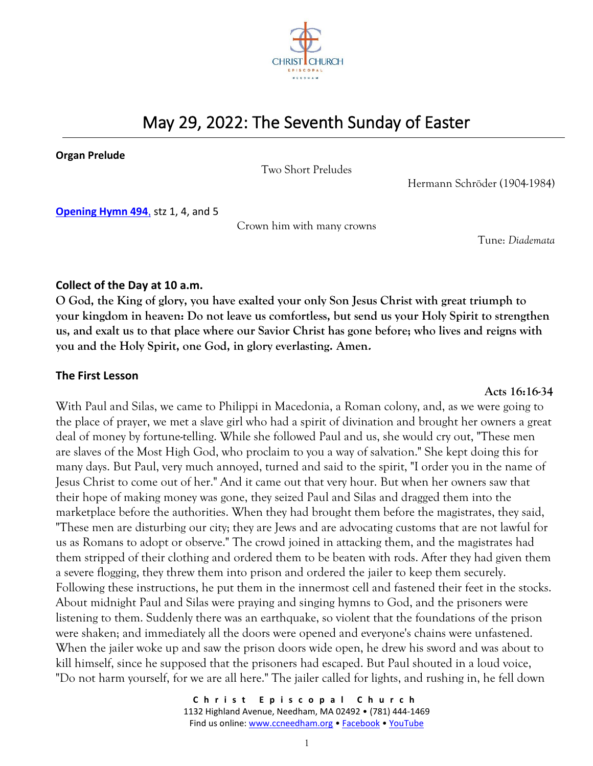

# May 29, 2022: The Seventh Sunday of Easter

**Organ Prelude** 

Two Short Preludes

Hermann Schröder (1904-1984)

**[Opening Hymn 494](https://ccneedham.org/wp-content/uploads/2022/05/Opening-Hymn-494-5-29-22-Crown-him-with-many-crowns-Diademata-Music.png)**[,](https://ccneedham.org/wp-content/uploads/2022/05/Opening-Hymn-494-5-29-22-Crown-him-with-many-crowns-Diademata-Music.png) stz 1, 4, and 5

Crown him with many crowns

Tune: *Diademata*

## **Collect of the Day at 10 a.m.**

**O God, the King of glory, you have exalted your only Son Jesus Christ with great triumph to your kingdom in heaven: Do not leave us comfortless, but send us your Holy Spirit to strengthen us, and exalt us to that place where our Savior Christ has gone before; who lives and reigns with you and the Holy Spirit, one God, in glory everlasting. Amen.**

#### **The First Lesson**

#### **Acts 16:16-34**

With Paul and Silas, we came to Philippi in Macedonia, a Roman colony, and, as we were going to the place of prayer, we met a slave girl who had a spirit of divination and brought her owners a great deal of money by fortune-telling. While she followed Paul and us, she would cry out, "These men are slaves of the Most High God, who proclaim to you a way of salvation." She kept doing this for many days. But Paul, very much annoyed, turned and said to the spirit, "I order you in the name of Jesus Christ to come out of her." And it came out that very hour. But when her owners saw that their hope of making money was gone, they seized Paul and Silas and dragged them into the marketplace before the authorities. When they had brought them before the magistrates, they said, "These men are disturbing our city; they are Jews and are advocating customs that are not lawful for us as Romans to adopt or observe." The crowd joined in attacking them, and the magistrates had them stripped of their clothing and ordered them to be beaten with rods. After they had given them a severe flogging, they threw them into prison and ordered the jailer to keep them securely. Following these instructions, he put them in the innermost cell and fastened their feet in the stocks. About midnight Paul and Silas were praying and singing hymns to God, and the prisoners were listening to them. Suddenly there was an earthquake, so violent that the foundations of the prison were shaken; and immediately all the doors were opened and everyone's chains were unfastened. When the jailer woke up and saw the prison doors wide open, he drew his sword and was about to kill himself, since he supposed that the prisoners had escaped. But Paul shouted in a loud voice, "Do not harm yourself, for we are all here." The jailer called for lights, and rushing in, he fell down

> **C h r i s t E p i s c o p a l C h u r c h** 1132 Highland Avenue, Needham, MA 02492 • (781) 444-1469 Find us online: [www.ccneedham.org](http://www.ccneedham.org/) [• Facebook](https://www.facebook.com/christchurchneedham/) • [YouTube](https://www.youtube.com/channel/UCt0k93brP-KEZC3D7XNP2gw)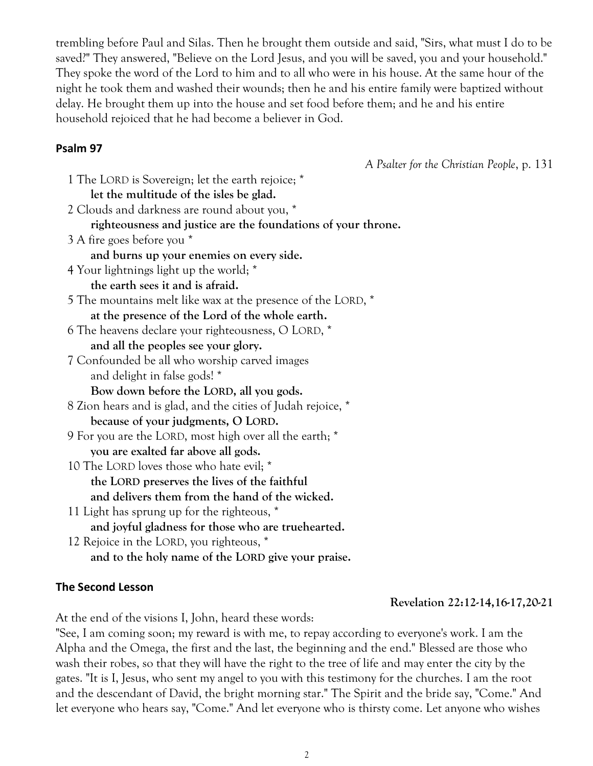trembling before Paul and Silas. Then he brought them outside and said, "Sirs, what must I do to be saved?" They answered, "Believe on the Lord Jesus, and you will be saved, you and your household." They spoke the word of the Lord to him and to all who were in his house. At the same hour of the night he took them and washed their wounds; then he and his entire family were baptized without delay. He brought them up into the house and set food before them; and he and his entire household rejoiced that he had become a believer in God.

## **Psalm 97**

*A Psalter for the Christian People*, p. 131

| 1 The LORD is Sovereign; let the earth rejoice; *             |  |  |  |
|---------------------------------------------------------------|--|--|--|
| let the multitude of the isles be glad.                       |  |  |  |
| 2 Clouds and darkness are round about you, *                  |  |  |  |
| righteousness and justice are the foundations of your throne. |  |  |  |
| 3 A fire goes before you *                                    |  |  |  |
| and burns up your enemies on every side.                      |  |  |  |
| 4 Your lightnings light up the world; *                       |  |  |  |
| the earth sees it and is afraid.                              |  |  |  |
| 5 The mountains melt like wax at the presence of the LORD, *  |  |  |  |
| at the presence of the Lord of the whole earth.               |  |  |  |
| 6 The heavens declare your righteousness, O LORD, *           |  |  |  |
| and all the peoples see your glory.                           |  |  |  |
| 7 Confounded be all who worship carved images                 |  |  |  |
| and delight in false gods! *                                  |  |  |  |
| Bow down before the LORD, all you gods.                       |  |  |  |
| 8 Zion hears and is glad, and the cities of Judah rejoice, *  |  |  |  |
| because of your judgments, O LORD.                            |  |  |  |
| 9 For you are the LORD, most high over all the earth; *       |  |  |  |
| you are exalted far above all gods.                           |  |  |  |
| 10 The LORD loves those who hate evil; *                      |  |  |  |
| the LORD preserves the lives of the faithful                  |  |  |  |
| and delivers them from the hand of the wicked.                |  |  |  |
| 11 Light has sprung up for the righteous, *                   |  |  |  |
| and joyful gladness for those who are truehearted.            |  |  |  |
| 12 Rejoice in the LORD, you righteous, *                      |  |  |  |
| and to the holy name of the LORD give your praise.            |  |  |  |

# **The Second Lesson**

#### **Revelation 22:12-14,16-17,20-21**

At the end of the visions I, John, heard these words:

"See, I am coming soon; my reward is with me, to repay according to everyone's work. I am the Alpha and the Omega, the first and the last, the beginning and the end." Blessed are those who wash their robes, so that they will have the right to the tree of life and may enter the city by the gates. "It is I, Jesus, who sent my angel to you with this testimony for the churches. I am the root and the descendant of David, the bright morning star." The Spirit and the bride say, "Come." And let everyone who hears say, "Come." And let everyone who is thirsty come. Let anyone who wishes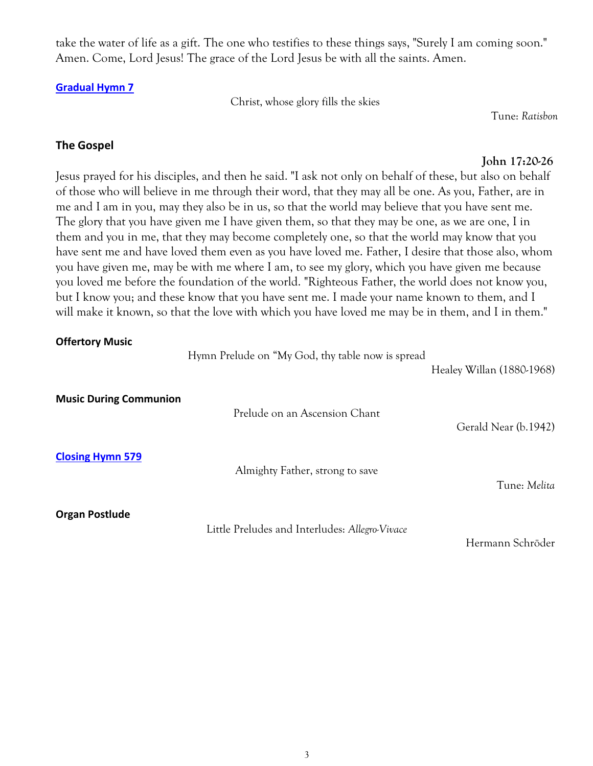take the water of life as a gift. The one who testifies to these things says, "Surely I am coming soon." Amen. Come, Lord Jesus! The grace of the Lord Jesus be with all the saints. Amen.

#### **[Gradual Hymn 7](https://ccneedham.org/wp-content/uploads/2022/05/Gradual-Hymn-7-5-29-22-Christ-whose-glory-fills-the-skies-Ratisbon-Music.png)**

Christ, whose glory fills the skies

Tune: *Ratisbon*

# **The Gospel**

# **John 17:20-26**

Jesus prayed for his disciples, and then he said. "I ask not only on behalf of these, but also on behalf of those who will believe in me through their word, that they may all be one. As you, Father, are in me and I am in you, may they also be in us, so that the world may believe that you have sent me. The glory that you have given me I have given them, so that they may be one, as we are one, I in them and you in me, that they may become completely one, so that the world may know that you have sent me and have loved them even as you have loved me. Father, I desire that those also, whom you have given me, may be with me where I am, to see my glory, which you have given me because you loved me before the foundation of the world. "Righteous Father, the world does not know you, but I know you; and these know that you have sent me. I made your name known to them, and I will make it known, so that the love with which you have loved me may be in them, and I in them."

| <b>Offertory Music</b>        | Hymn Prelude on "My God, thy table now is spread | Healey Willan (1880-1968) |
|-------------------------------|--------------------------------------------------|---------------------------|
| <b>Music During Communion</b> | Prelude on an Ascension Chant                    | Gerald Near (b.1942)      |
| <b>Closing Hymn 579</b>       | Almighty Father, strong to save                  | Tune: Melita              |
| <b>Organ Postlude</b>         | Little Preludes and Interludes: Allegro-Vivace   | Hermann Schröder          |